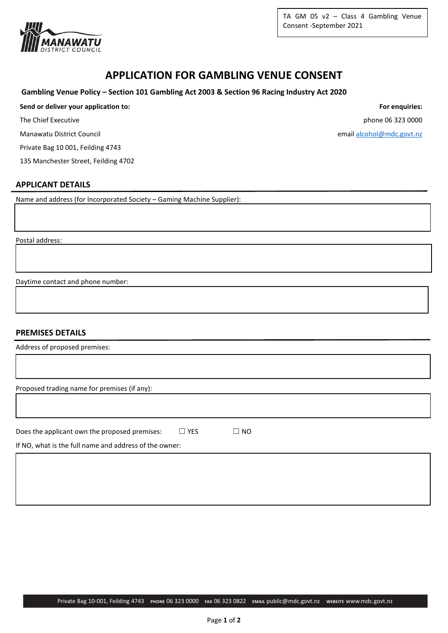

TA GM 05  $v2 - Class 4$  Gambling Venue Consent -September 2021

# **APPLICATION FOR GAMBLING VENUE CONSENT**

#### **Gambling Venue Policy – Section 101 Gambling Act 2003 & Section 96 Racing Industry Act 2020**

## **Send or deliver your application to: For enquiries:**

Manawatu District Council and the control of the control of the control of the control of the control of the control of the control of the control of the control of the control of the control of the control of the control

Private Bag 10 001, Feilding 4743

135 Manchester Street, Feilding 4702

#### **APPLICANT DETAILS**

Name and address (for Incorporated Society – Gaming Machine Supplier):

Postal address:

Daytime contact and phone number:

## **PREMISES DETAILS**

| Address of proposed premises:                          |            |           |
|--------------------------------------------------------|------------|-----------|
|                                                        |            |           |
| Proposed trading name for premises (if any):           |            |           |
|                                                        |            |           |
| Does the applicant own the proposed premises:          | $\Box$ YES | $\Box$ NO |
| If NO, what is the full name and address of the owner: |            |           |
|                                                        |            |           |
|                                                        |            |           |

The Chief Executive phone 06 323 0000